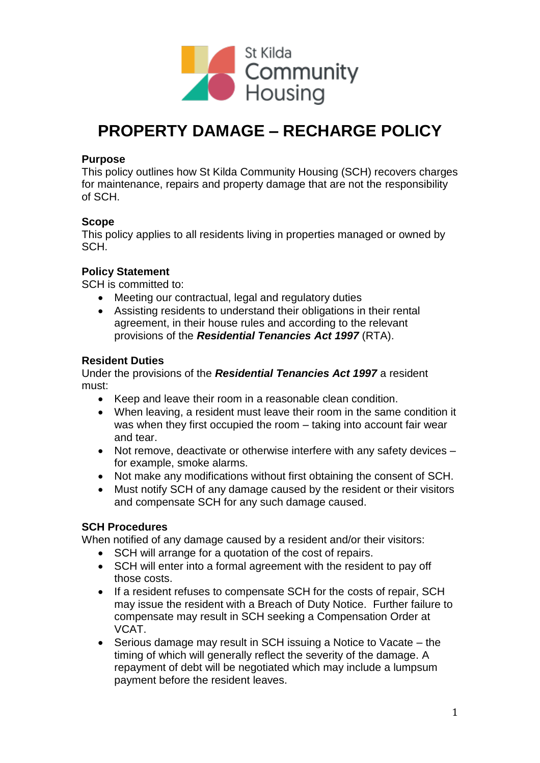

# **PROPERTY DAMAGE – RECHARGE POLICY**

#### **Purpose**

This policy outlines how St Kilda Community Housing (SCH) recovers charges for maintenance, repairs and property damage that are not the responsibility of SCH.

# **Scope**

This policy applies to all residents living in properties managed or owned by SCH.

# **Policy Statement**

SCH is committed to:

- Meeting our contractual, legal and regulatory duties
- Assisting residents to understand their obligations in their rental agreement, in their house rules and according to the relevant provisions of the *Residential Tenancies Act 1997* (RTA).

# **Resident Duties**

Under the provisions of the *Residential Tenancies Act 1997* a resident must:

- Keep and leave their room in a reasonable clean condition.
- When leaving, a resident must leave their room in the same condition it was when they first occupied the room – taking into account fair wear and tear.
- Not remove, deactivate or otherwise interfere with any safety devices for example, smoke alarms.
- Not make any modifications without first obtaining the consent of SCH.
- Must notify SCH of any damage caused by the resident or their visitors and compensate SCH for any such damage caused.

# **SCH Procedures**

When notified of any damage caused by a resident and/or their visitors:

- SCH will arrange for a quotation of the cost of repairs.
- SCH will enter into a formal agreement with the resident to pay off those costs.
- If a resident refuses to compensate SCH for the costs of repair, SCH may issue the resident with a Breach of Duty Notice. Further failure to compensate may result in SCH seeking a Compensation Order at VCAT.
- Serious damage may result in SCH issuing a Notice to Vacate the timing of which will generally reflect the severity of the damage. A repayment of debt will be negotiated which may include a lumpsum payment before the resident leaves.